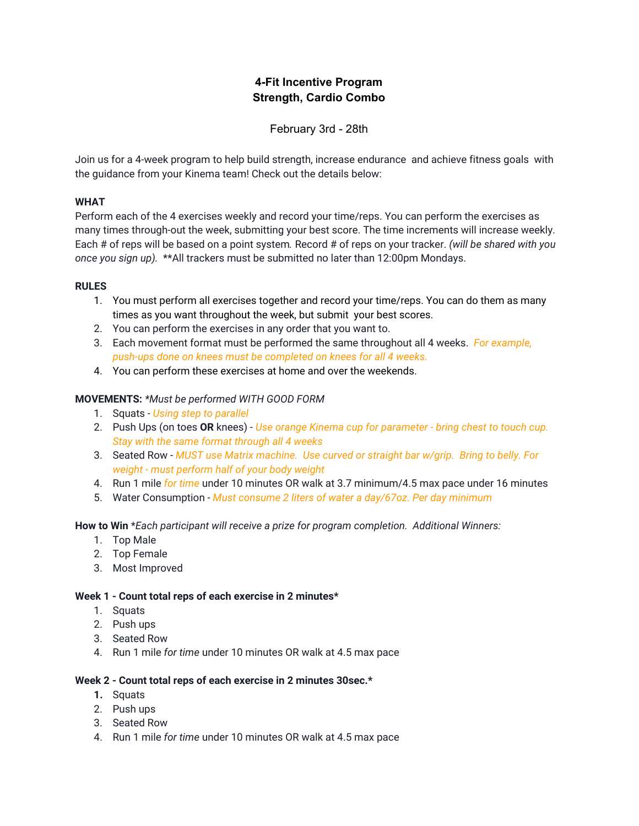# **4-Fit Incentive Program Strength, Cardio Combo**

February 3rd - 28th

Join us for a 4-week program to help build strength, increase endurance and achieve fitness goals with the guidance from your Kinema team! Check out the details below:

## **WHAT**

Perform each of the 4 exercises weekly and record your time/reps. You can perform the exercises as many times through-out the week, submitting your best score. The time increments will increase weekly. Each # of reps will be based on a point system*.* Record # of reps on your tracker. *(will be shared with you once you sign up).* \*\*All trackers must be submitted no later than 12:00pm Mondays.

## **RULES**

- 1. You must perform all exercises together and record your time/reps. You can do them as many times as you want throughout the week, but submit your best scores.
- 2. You can perform the exercises in any order that you want to.
- 3. Each movement format must be performed the same throughout all 4 weeks. *For example, push-ups done on knees must be completed on knees for all 4 weeks.*
- 4. You can perform these exercises at home and over the weekends.

## **MOVEMENTS:** *\*Must be performed WITH GOOD FORM*

- 1. Squats *- Using step to parallel*
- 2. Push Ups (on toes **OR** knees) *- Use orange Kinema cup for parameter - bring chest to touch cup. Stay with the same format through all 4 weeks*
- 3. Seated Row *- MUST use Matrix machine. Use curved or straight bar w/grip. Bring to belly. For weight - must perform half of your body weight*
- 4. Run 1 mile *for time* under 10 minutes OR walk at 3.7 minimum/4.5 max pace under 16 minutes
- 5. Water Consumption *- Must consume 2 liters of water a day/67oz. Per day minimum*

**How to Win** \**Each participant will receive a prize for program completion. Additional Winners:*

- 1. Top Male
- 2. Top Female
- 3. Most Improved

#### **Week 1 - Count total reps of each exercise in 2 minutes\***

- 1. Squats
- 2. Push ups
- 3. Seated Row
- 4. Run 1 mile *for time* under 10 minutes OR walk at 4.5 max pace

#### **Week 2 - Count total reps of each exercise in 2 minutes 30sec.\***

- **1.** Squats
- 2. Push ups
- 3. Seated Row
- 4. Run 1 mile *for time* under 10 minutes OR walk at 4.5 max pace